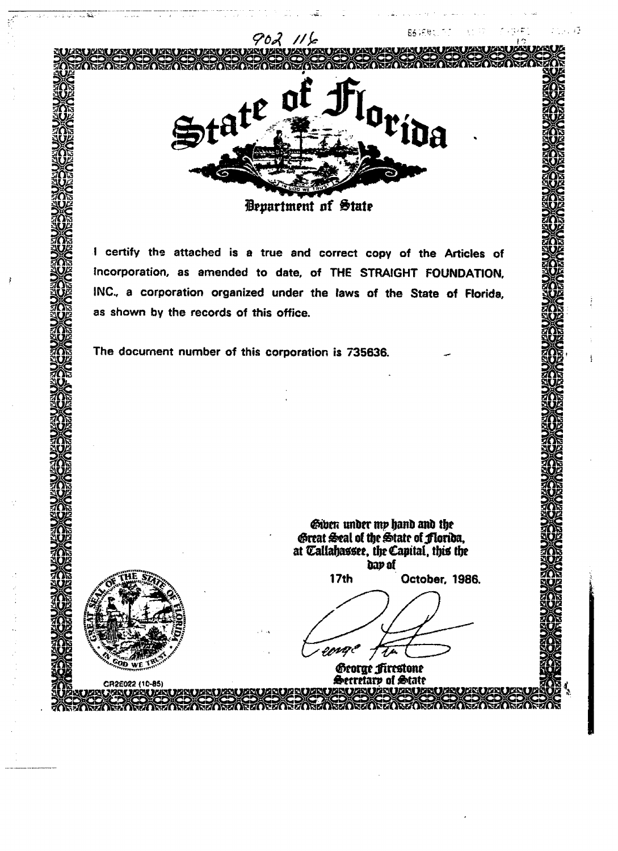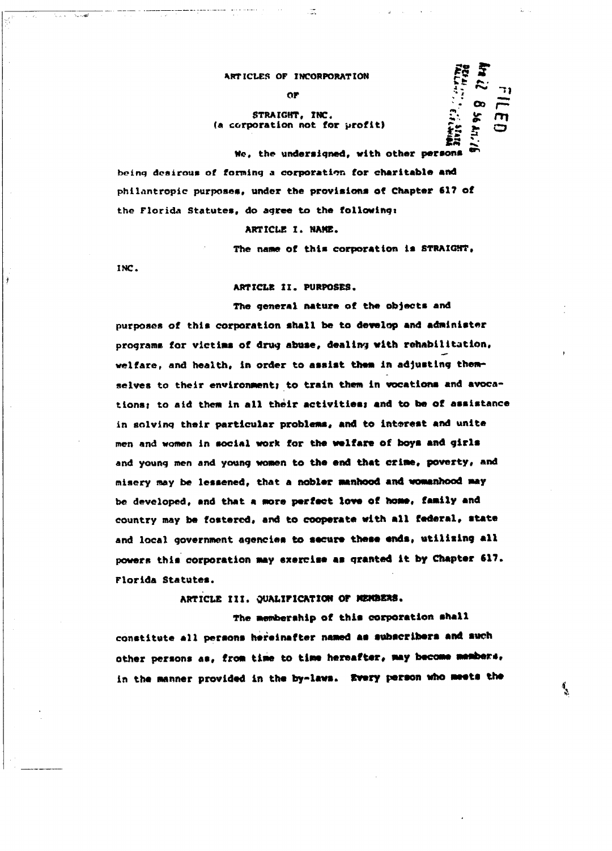### **ARTICLES OF INCORPORATION**  $\begin{array}{cc}\n\text{Tr} \text{contribution} \\
\text{Tr} \begin{array}{cc}\n\text{Tr} \text{C} \text{N} \\
\text{N} \end{array}\n\end{array}$

#### STRAIGHT, INC. (a corporation not for profit)

**I**\*«**f**• » **-**<sup>v</sup> **We, the undersigned, with other persons being desirous of forming a corporation for charitable and** philantropic purposes, under the provisions of Chapter 617 of **the Florida Statutes, do agree to the following!**

ARTICLE I. NAME.

**The name of this corporation Is STRAIGHT,**

 $\cdot$   $\infty$   $\sim$ 

٦

**INC.**

ARTICLE II. PURPOSES.

**The general nature of the objects and** purposes of this corporation shall be to develop and administer **programs for victims of drug abuse, dealing with rehabilitation, welfare, and health, in order to assist them in adjusting them**selves to their environment; to train them in vocations and avocations; to aid them in all their activities; and to be of assistance in solving their particular problems, and to interest and unite men and women in social work for the welfare of boys and girls **and young men and young women to the end that crime, poverty, and misery may be lessened, that a nobler manhood and womanhood may be developed, and that a more perfect love of home, family and country may be fostered, and to cooperate with all federal, state** and local government agencies to secure these ends, utilizing all powers this corporation may exercise as granted it by Chapter 617. **Florida Statutes.**

ARTICLE III. QUALIFICATION OF MEMBERS.

The membership of this corporation shall constitute all persons hereinafter named as subscribers and such other persons as, from time to time hereafter, may become members, in the manner provided in the by-laws. Every person who meets the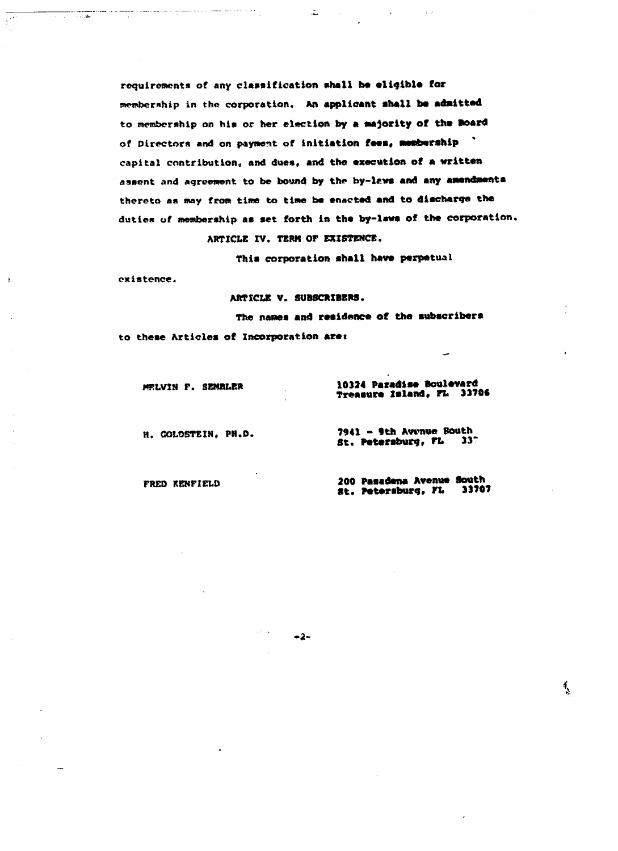**requirements of any clarification shall be eligible for** membership in the corporation. An applicant shall be admitted to membership on his or her election by a majority of the Board of Directors and on payment of initiation fees, membership " **capital contribution, and due\*, ami the execution of a written aaaent and agreement to be bound by the by-iews and any amendments thereto as may from time to time be enacted and to discharge the duties of membership as set forth in the by-laws of the corporation. ARTICLE XV. TERM OF EXISTENCE.**

 $\frac{1}{2}$ 

**This corporation shall have perpetual**

**existence.**

Ŷ.

ARTICLE V. SUBSCRIBERS.

-2-

**The names and residence of the subscribers**

**to these Articles of Incorporation arei**

**r. SEMBbER 10324 Paradise Boulevard Treasure Island, FL 33706** 

H. COtSSTEIH, **PH.D. 7941 - fth Awnue South** St. Petersburg, FL

**FRED RENFIELD 200 Pasadena Avenue South St. Petersburg, FL** 

्र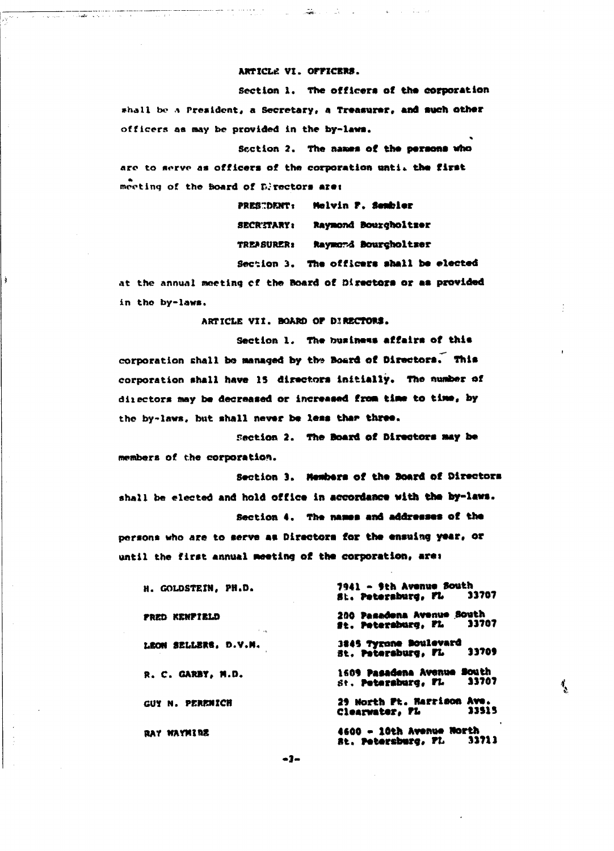#### ARTICLE VI. OFFICERS.

and the state of the state of the state of the

<u>a salaman salah sahiji désa di ka</u>

Section 1. The officers of the corporation shall be a President, a Secretary, a Treasurer, and such other officers as may be provided in the by-laws.

Section 2. The names of the persons who are to serve as officers of the corporation until the first meeting of the hoard of Directors are:

> PRESTDENT: Melvin F. Sembler SECRITARY: Raymond Bourgholtzer TREASURER: Raymord Bourcholtser Section 3. The officers shall be elected

at the annual meeting of the Board of Directors or as provided in the by-laws.

ARTICLE VII, BOARD OF DIRECTORS.

Section 1. The business affairs of this corporation shall be managed by the Board of Directors. This corporation shall have 15 directors initially. The number of directors may be decreased or increased from time to time, by the by-laws, but shall never be less than three.

Section 2. The Board of Directors may be members of the corporation.

Section 3. Members of the Board of Directors shall be elected and hold office in accordance with the by-laws. Section 4. The names and addresses of the

persons who are to serve as Directors for the ensuing year, or until the first annual meeting of the corporation, are:

| H. GOLDSTEIN. PH.D.                      | 7941 - 9th Avenue South<br>33707<br>St. Petersburg, FL       |  |  |  |
|------------------------------------------|--------------------------------------------------------------|--|--|--|
| FRED KENFIELD<br>$\mathbf{1}=\mathbf{1}$ | 200 Pasadena Avenue South<br>33707<br>st. Petersburg, FL     |  |  |  |
| LEON SELLERS. D.V.M.                     | 3845 Tyrone Boulevard<br>33709<br>st. Patersburg, FL         |  |  |  |
| R. C. GARBY. M.D.                        | 1609 Pasadena Avenue South<br>33707<br>St. Petersburg, FL    |  |  |  |
| GUY N. PERENICH                          | 29 North Pt. Harrison Ave.<br>33515<br>Clearwater, PL        |  |  |  |
| RAY WAYMIRE                              | 4600 - 10th Avenue North<br><b>Rt. Petersburg, FL. 33713</b> |  |  |  |

 $\mathbf{I}_{\mathbf{S}}$ 

 $-3-$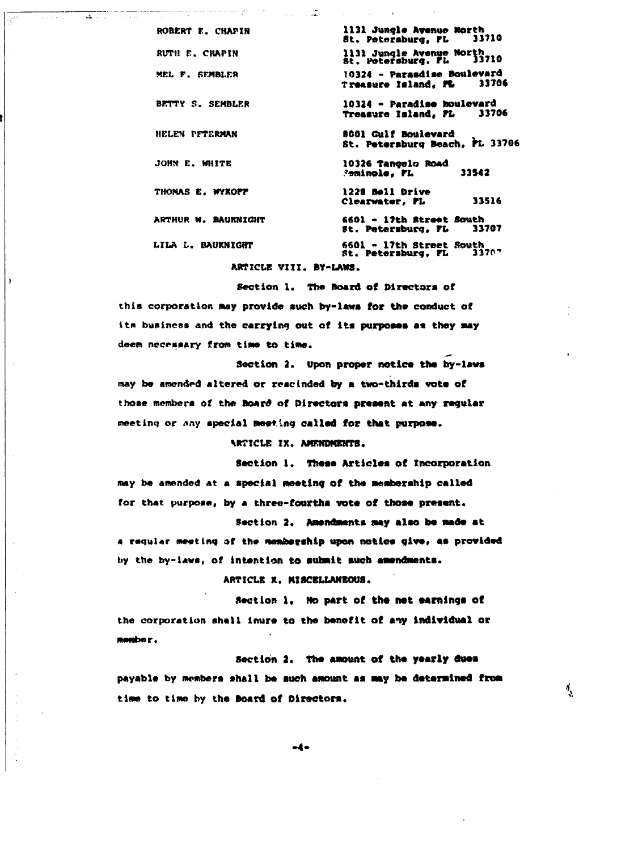ROBERT r. CHAPIH **1131 Jungle Avenue North St. Petersburg, FL** RUTH E. CHAPTN **1131 Jungle Avenue North St. Petersburg. Pi. 33710** MEL P. SEMBLER 10324 - Parasdise Boulevard<br>Treasure Island, FL 33706 **Treasure Island, PL BKTTY 5. SEMBLER 10324 - Paradlae boulevard Treasure Island, FL HELEN PFTERMAN the COLOR Gulf Boulevard St. Petersburg Beach, PL 33706 JOHN E. WHITE 10326 Tangelo Road ?«minoie, PL 33S42** THOMAS E. WYKOPP **1228 Ball Drive Ciearwater, PL 33516 ARTHUR M. HAUKNICHT 6601 - 17th Street South St. Petersburg, FL** LILA L. BAUKNIGHT **6601 \* 17th Street South St. Petersburg, PL 337P-**

ARTICLE **VI If. BY-LAWS.**

ست.<br>مقام دارای ایرانی

الماريان المالية والمتحدثة والمتحدثة

Ï

Section 1. The Board of Directors of this corporation may provide such by-laws for the conduct of its buainess and the carrying out of its purposes as they may **deem necccaary from time to tine.**

Section 2. Upon proper notice the by-laws may be amended altered or rescinded by a two-thirds vote of those members of the Board of Directors present at any reqular **meeting or \*ny special nweflng called for that purpose.**

#### ARTICLE IX. AMENDMENTS.

Section 1. These Articles of Incorporation **Any be amended at a special meeting of the membership called** for that purpose, by a three-fourths vote of those present.

**Section 2. Aaxndsunta may also toe made at \* r\*cjul«r meeting at the membe\*\*hip upon notice give, \*\* provided** by the by-laws, of intention to submit such amendments.

**ARTICLE X. MISCELLANEOUS.**

Section 1. Ho part of the net earnings of **the corporation shall inure to the benefit of any individual or** member.

Section 2. The amount of the yearly dues payable by members shall be such amount as may be determined from time to time by the Board of Directors.

ै

-4-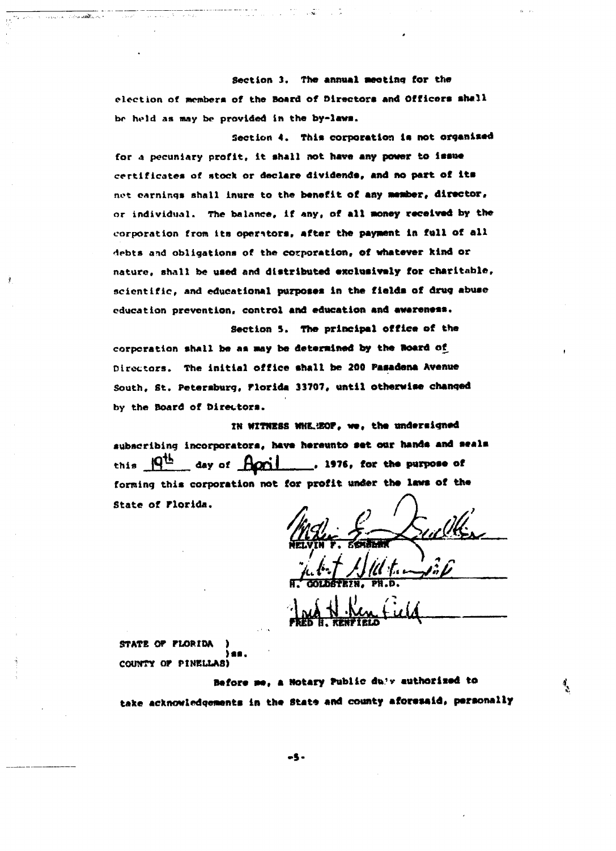**Section 3. The annual swotlng for the** election of members of the Board of Directors and Officers shall be held as may be provided in the by-laws.

**Section 4. This corporation is not organised** for a pecuniary profit, it shall not have any power to issue certificates of stock or declare dividends, and no part of its **not earnings shall inure to the benefit of any member, director, or individual. The balance, if any, of all money received by the corporation from its operators, after the payment in full of all debts and obligations of the corporation, of whatever kind or nature, shall be used and distributed exclusively for charitable,** scientific, and educational purposes in the fields of drug abuse **education prevention, control and education and awareness.**

**Section 5. The principal office of the corporation shall be a\* way be determined by the Board o£ Directors. The initial office shall be 200 Pasadena Avenue South, St. Petersburg, Florida 33707, until otherwise changed by the Board of Directors.**

**IN WITNESS HKE-iSOF, we, the undersigned** subscribing incorporatora, have hereunto set our hands and seals this  $\frac{|\mathbf{q}^{\text{th}}|}{\mathbf{q}^{\text{th}}}$  day of  $\frac{|\mathbf{q}^{\text{th}}|}{\mathbf{q}^{\text{th}}}$ , 1976, for the purpose of forming this corporation not for profit under the laws of the **State of Florida.**

ulk **MELVZN f, 5«KSWK**

Í.

**STATE OF FLOP. IDA ) »•\*. COUNTY OF PINEUA8)**

ŧ

**Before me, a notary Public du'v authorised to** take acknowledgements in the State and county aforesaid, personally

-5 -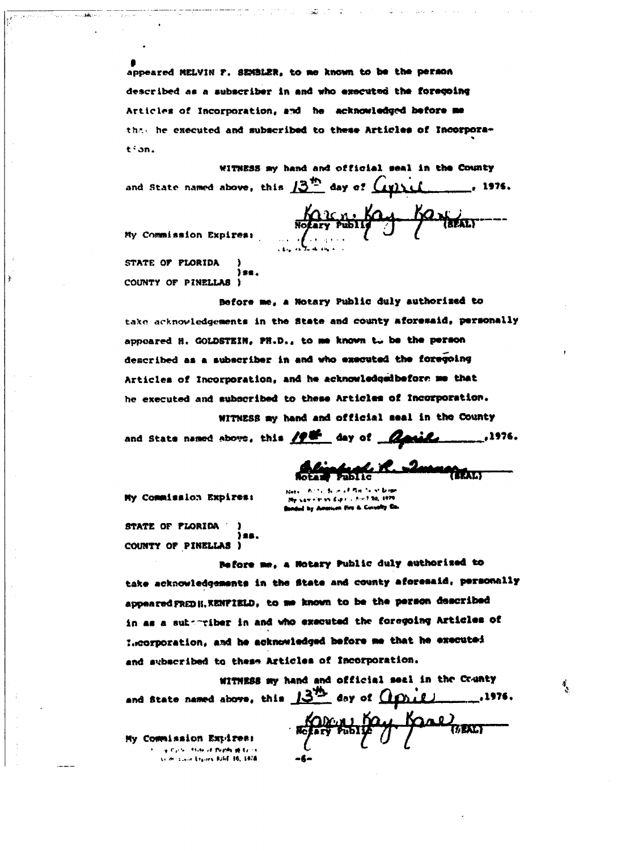appeared MELVIN F. SEMBLER, to me known to be the person described as a subscriber in and who executed the foregoing Articles of Incorporation, and he acknowledged before me that he executed and subscribed to these Articles of Incorporation.

WITNESS my hand and official seal in the County and State named above, this  $13^{15}$  day of  $C$ y) if  $_{-x}$  1976.

Karen Ka

My Commission Expires:

STATE OF FLORIDA COUNTY OF PINELLAS I

Before me, a Notary Public duly authorized to take acknowledgements in the State and county aforesaid, personally appeared H. GOLDSTEIN, PH.D., to me known to be the person described as a subscriber in and who executed the foregoing Articles of Incorporation, and he acknowledgedbefore me that he executed and subscribed to these Articles of Incorporation.

WITNESS my hand and official seal in the County and State named above, this  $\mathscr{L}^{\mathscr{L}^{\mathscr{L}}}$  day of  $\mathscr{L}$ ,1976.

Romy Fox, Raal BEALT

My Commission Expires:

STATE OF FLORIDA COUNTY OF PINELLAS )

Before me, a Notary Public duly authorized to take acknowledgements in the State and county aforesaid, personnlly appeared FREDH. KENFIELD, to me known to be the person described in as a subscriber in and who executed the foregoing Articles of Leorporation, and he acknowledged before me that he executed and subscribed to these Articles of Incorporation.

WITHESS my hand and official seal in the County and State named above, this 13th day of *Apple*  $\overline{\phantom{1}}$ , 1976.

My Commission Expires: e Parte i fram a**t Perificial L**erri cimiraan Liyoos Kilif 16, 197<mark>8</mark>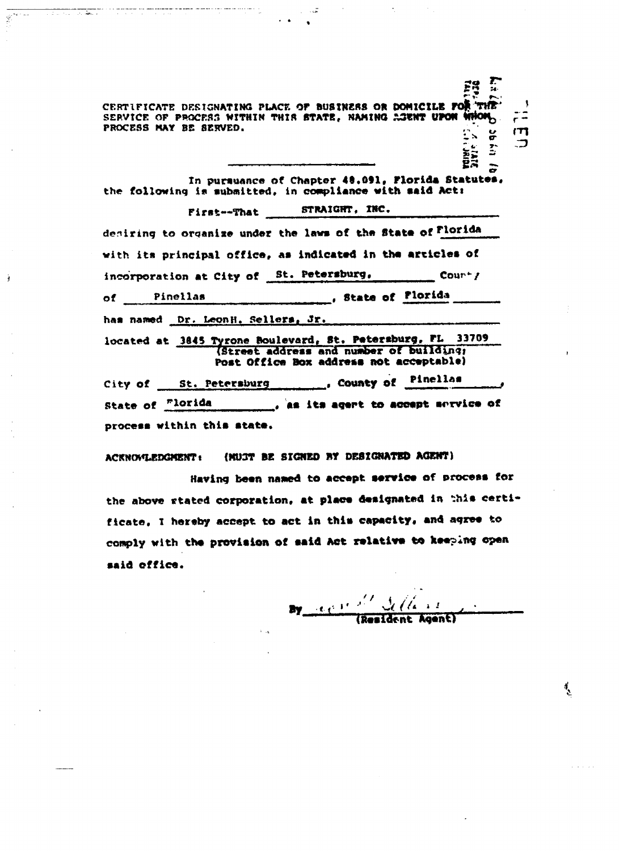CERTIFICATE DESIGNATING PLACE OF BUSINESS OR DOMICILE FOR THE CERTIFICATE DESIGNATING FLACE OF BUBINERS ON HOTILING TO THIS SERVICE OF PROCESS WITHIN THIS STATE, NAMING ACENT UPON WHOM PROCESS MAY BE SERVED.  $\sum_{i=1}^{n}$ m  $\frac{\sigma}{\sigma}$ 

 $\mathbb{R}^{2n+m}$ 

à

**Technology** 

In pursuance of Chapter 48.091, Florida Statutes. the following is submitted, in compliance with said Act:

First--That STRAIGHT, INC. desiring to organize under the laws of the State of Florida with its principal office, as indicated in the articles of incorporation at City of St. Petersburg,  $\frac{1}{2}$  Courty State of Plorida Pinellas  $of$  and  $\sim$ has named Dr. LeonH. Sellers, Jr.

located at 3845 Tyrone Boulevard, St. Petersburg, FL 33709 (Street address and number of building; Post Office Box address not acceptable)

County of Pinellas City of St. Petersburg State of Florida process within this state.

(MU3T BE SIGNED BY DESIGNATED AGENT) **ACKNOVLEDGMENT:** 

Having been named to accept service of process for the above stated corporation, at place designated in this certificate, I hereby accept to act in this capacity, and agree to comply with the provision of said Act relative to keeping open said office.

By  $\frac{1}{\sqrt{2\pi}}$  (Resident Agent)

 $\overline{\phantom{a}}$ 

र्

**POINT** 

 $\sum_{i=1}^{n}$  $\ddot{r}$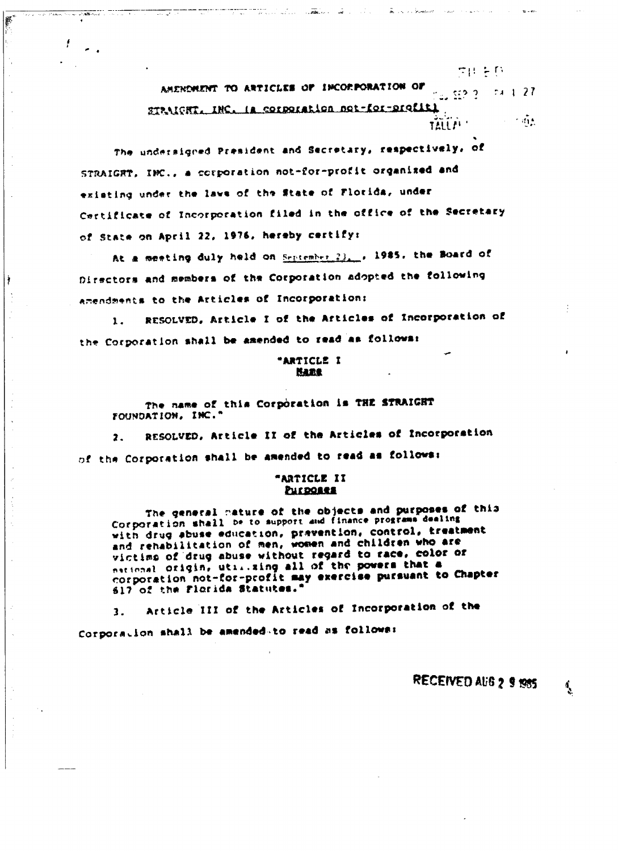AMENDMENT TO ARTICLES OF IMCORPORATION OF  $-74, 1, 27$  $m_{\rm e}$  (12.2.2). STANICHT. INC. Is corporation not-for-profiti  $\sim 1.615$ TALL!

the construction of the construction

루만 눈다

tan alah sebagai di sebagai dan sebagai dan sebagai dan banyak dan banyak dan banyak dalam selasai dan banyak

F

ţ

f

The undersigned President and Secretary, respectively, of STRAIGRT, INC., a corporation not-for-profit organized and existing under the laws of the State of Florida, under Certificate of Incorporation filed in the office of the Secretary of State on April 22, 1976, hereby certify:

At a meeting duly held on September 23, p 1985, the Board of Directors and members of the Corporation adopted the following amendments to the Articles of Incorporation:

RESOLVED, Article I of the Articles of Incorporation of 1. the Corporation shall be amended to read as follows:

> "ARTICLE I **MARR**

The name of this Corporation is THE STRAIGHT FOUNDATION, INC.'

RESOLVED, Article II of the Articles of Incorporation  $\overline{\mathbf{z}}$  . of the Corporation shall be amended to read as follows:

#### "ARTICLE II **PHIPORRE**

The general mature of the objects and purposes of this Corporation shall be to support and finance programs dealing with drug abuse education, prevention, control, treatment and rehabilitation of men, women and children who are victims of drug abuse without regard to race, color or national origin, utilizing all of the powers that a corporation not-for-profit may exercise pursuant to Chapter 617 of the Florida Statutes."

Article III of the Articles of Incorporation of the 1. Corporation shall be amended to read as follows:

RECEIVED AUG 2 9 1985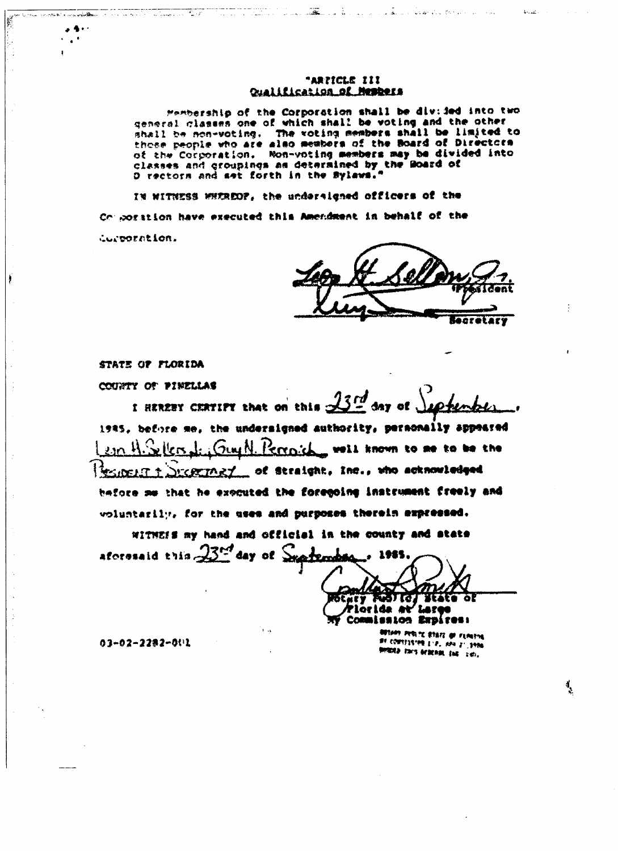#### "ARTICLE III Qualification of Members

Membership of the Corporation shall be div: ied into two general classes one of which shall be voting and the other shall be non-voting. The voting members shall be limited to those people who are also members of the Board of Directors of the Corporation. Non-voting members may be divided into<br>classes and groupings as determined by the Board of<br>O rectors and set forth in the Sylaws."

IN WITNESS WHEREOF, the undersigned officers of the Composition have executed this Amendmant in behalf of the Curporation.

ecretary

las alternativas de la construcción de la construcción

 $\mathcal{A}_{\mathcal{F}_1,\mathcal{B}_2}$  .

STATE OF FLORIDA

a consideration of the construction of the construction of the office

 $-9.1$  $\epsilon^{\pm}$  $\pmb{\cdot}$ 

Tale and a

COUNTY OF PINELLAS

I HEREBY CERTIFY that on this  $\frac{\sqrt{3}L^d}{2}$  day of 1985, before me, the undersigned authority, personally appeared Sellers dr. Guy N. Perroich wall known to me to be the  $\mathfrak{so} \mathfrak{R}.$ Successor of Straight, Inc., who acknowledged **FEIDELIT 1** before me that he exocuted the foregoing instrument freely and voluntarily, for the uses and purposes therein expressed.

WITHEIS my hand and official in the county and state aforesaid this 23<sup>nd</sup> day of Suprember

ナインコ 31 G. ōΙ DENEY **Tloride av** <sup>7</sup> Latge Commission Expires:

**MIAM PERITE ETAIT OF FLOUINE** RE CONSTISTER E.P. APA 21, 1996 **BORRED THIS BEREAM, END SUD.** 

र्

03-02-2282-001